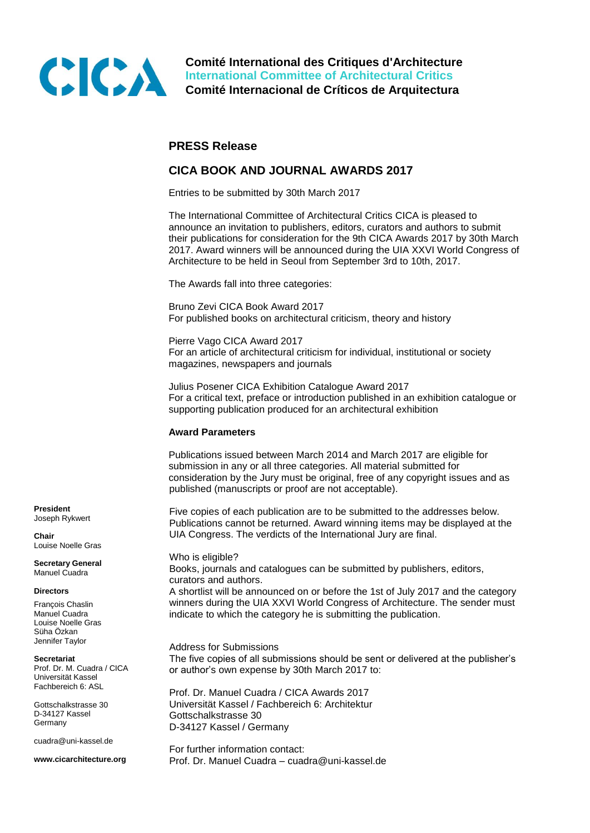

**Comité International des Critiques d'Architecture International Committee of Architectural Critics Comité Internacional de Críticos de Arquitectura**

# **PRESS Release**

# **CICA BOOK AND JOURNAL AWARDS 2017**

Entries to be submitted by 30th March 2017

The International Committee of Architectural Critics CICA is pleased to announce an invitation to publishers, editors, curators and authors to submit their publications for consideration for the 9th CICA Awards 2017 by 30th March 2017. Award winners will be announced during the UIA XXVI World Congress of Architecture to be held in Seoul from September 3rd to 10th, 2017.

The Awards fall into three categories:

Bruno Zevi CICA Book Award 2017 For published books on architectural criticism, theory and history

Pierre Vago CICA Award 2017 For an article of architectural criticism for individual, institutional or society magazines, newspapers and journals

Julius Posener CICA Exhibition Catalogue Award 2017 For a critical text, preface or introduction published in an exhibition catalogue or supporting publication produced for an architectural exhibition

### **Award Parameters**

Publications issued between March 2014 and March 2017 are eligible for submission in any or all three categories. All material submitted for consideration by the Jury must be original, free of any copyright issues and as published (manuscripts or proof are not acceptable).

Five copies of each publication are to be submitted to the addresses below. Publications cannot be returned. Award winning items may be displayed at the UIA Congress. The verdicts of the International Jury are final.

Who is eligible? Books, journals and catalogues can be submitted by publishers, editors, curators and authors.

A shortlist will be announced on or before the 1st of July 2017 and the category winners during the UIA XXVI World Congress of Architecture. The sender must indicate to which the category he is submitting the publication.

Address for Submissions The five copies of all submissions should be sent or delivered at the publisher's or author's own expense by 30th March 2017 to:

Prof. Dr. Manuel Cuadra / CICA Awards 2017 Universität Kassel / Fachbereich 6: Architektur Gottschalkstrasse 30 D-34127 Kassel / Germany

For further information contact: Prof. Dr. Manuel Cuadra – cuadra@uni-kassel.de

**President** Joseph Rykwert

**Chair** Louise Noelle Gras

**Secretary General** Manuel Cuadra

#### **Directors**

François Chaslin Manuel Cuadra Louise Noelle Gras Süha Özkan Jennifer Taylor

#### **Secretariat**

Prof. Dr. M. Cuadra / CICA Universität Kassel Fachbereich 6: ASL

Gottschalkstrasse 30 D-34127 Kassel Germany

cuadra@uni-kassel.de

**www.cicarchitecture.org**